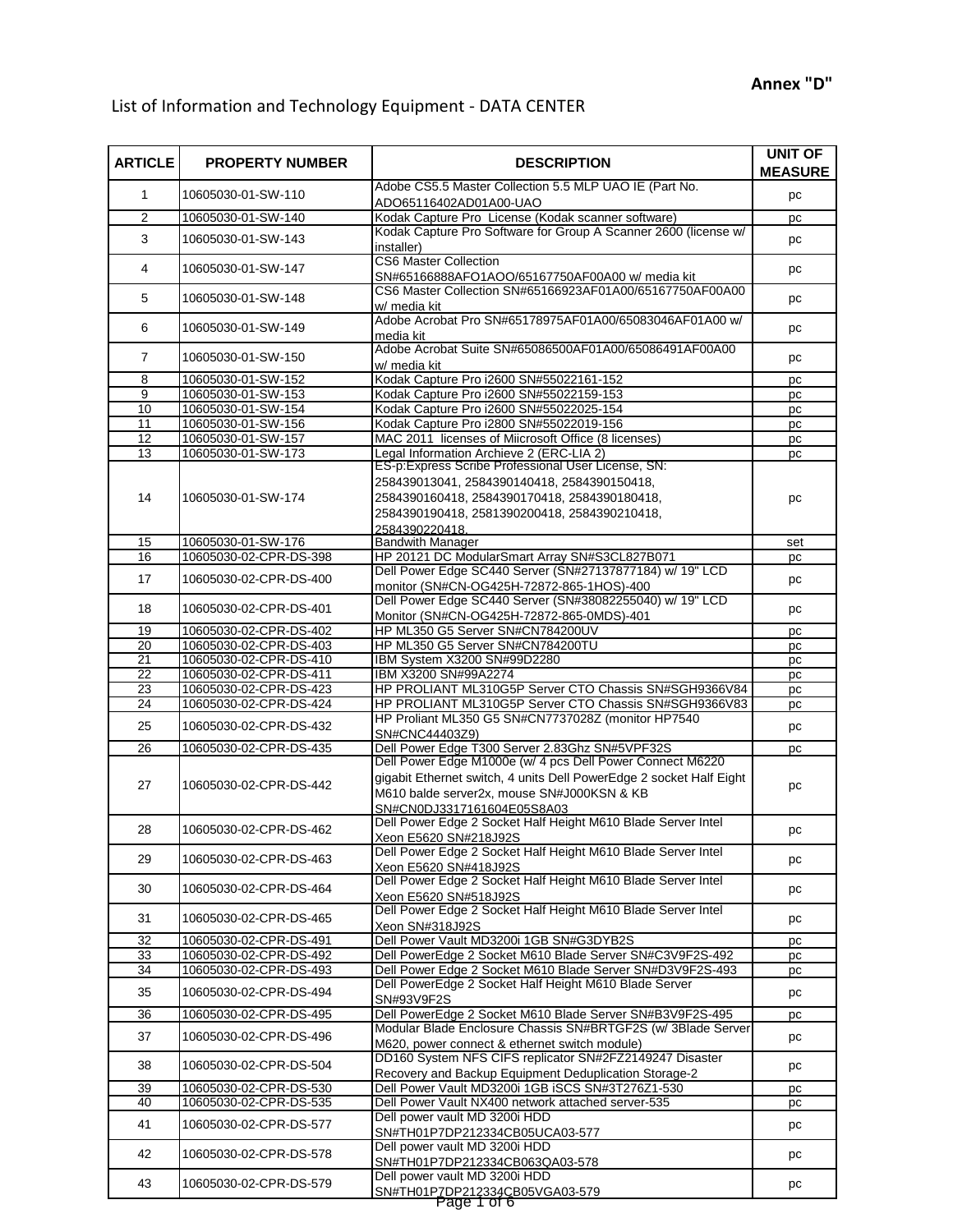## List of Information and Technology Equipment - DATA CENTER

| <b>ARTICLE</b>        | <b>PROPERTY NUMBER</b>                           | <b>DESCRIPTION</b>                                                                                                                                                                                                  | <b>UNIT OF</b><br><b>MEASURE</b> |
|-----------------------|--------------------------------------------------|---------------------------------------------------------------------------------------------------------------------------------------------------------------------------------------------------------------------|----------------------------------|
| 1                     | 10605030-01-SW-110                               | Adobe CS5.5 Master Collection 5.5 MLP UAO IE (Part No.<br>ADO65116402AD01A00-UAO                                                                                                                                    | pc                               |
| $\overline{2}$        | 10605030-01-SW-140                               | Kodak Capture Pro License (Kodak scanner software)                                                                                                                                                                  | pc                               |
| 3                     | 10605030-01-SW-143                               | Kodak Capture Pro Software for Group A Scanner 2600 (license w/<br>installer)                                                                                                                                       | pc                               |
| 4                     | 10605030-01-SW-147                               | <b>CS6 Master Collection</b><br>SN#65166888AFO1AOO/65167750AF00A00 w/ media kit                                                                                                                                     | pc                               |
| 5                     | 10605030-01-SW-148                               | CS6 Master Collection SN#65166923AF01A00/65167750AF00A00<br>w/ media kit                                                                                                                                            | pc                               |
| 6                     | 10605030-01-SW-149                               | Adobe Acrobat Pro SN#65178975AF01A00/65083046AF01A00 w/<br>media kit                                                                                                                                                | pc                               |
| $\overline{7}$        | 10605030-01-SW-150                               | Adobe Acrobat Suite SN#65086500AF01A00/65086491AF00A00<br>w/ media kit                                                                                                                                              | pc                               |
| 8                     | 10605030-01-SW-152                               | Kodak Capture Pro i2600 SN#55022161-152                                                                                                                                                                             | pc                               |
| 9                     | 10605030-01-SW-153                               | Kodak Capture Pro i2600 SN#55022159-153                                                                                                                                                                             | pc                               |
| 10                    | 10605030-01-SW-154                               | Kodak Capture Pro i2600 SN#55022025-154                                                                                                                                                                             | pc                               |
| 11                    | 10605030-01-SW-156                               | Kodak Capture Pro i2800 SN#55022019-156                                                                                                                                                                             | pc                               |
| 12                    | 10605030-01-SW-157                               | MAC 2011 licenses of Miicrosoft Office (8 licenses)                                                                                                                                                                 | pc                               |
| 13                    | 10605030-01-SW-173                               | Legal Information Archieve 2 (ERC-LIA 2)                                                                                                                                                                            | pc                               |
| 14                    | 10605030-01-SW-174                               | ES-p:Express Scribe Professional User License, SN:<br>258439013041, 2584390140418, 2584390150418,<br>2584390160418, 2584390170418, 2584390180418,<br>2584390190418, 2581390200418, 2584390210418,<br>2584390220418. | pc                               |
| 15                    | 10605030-01-SW-176                               | <b>Bandwith Manager</b>                                                                                                                                                                                             | set                              |
| 16                    | 10605030-02-CPR-DS-398                           | HP 20121 DC ModularSmart Array SN#S3CL827B071                                                                                                                                                                       | pc                               |
|                       |                                                  | Dell Power Edge SC440 Server (SN#27137877184) w/ 19" LCD                                                                                                                                                            |                                  |
| 17                    | 10605030-02-CPR-DS-400                           | monitor (SN#CN-OG425H-72872-865-1HOS)-400<br>Dell Power Edge SC440 Server (SN#38082255040) w/ 19" LCD                                                                                                               | pc                               |
| 18<br>19              | 10605030-02-CPR-DS-401<br>10605030-02-CPR-DS-402 | Monitor (SN#CN-OG425H-72872-865-0MDS)-401<br>HP ML350 G5 Server SN#CN784200UV                                                                                                                                       | pc                               |
|                       |                                                  |                                                                                                                                                                                                                     | pc                               |
| 20                    | 10605030-02-CPR-DS-403                           | HP ML350 G5 Server SN#CN784200TU                                                                                                                                                                                    | pc                               |
| 21<br>$\overline{22}$ | 10605030-02-CPR-DS-410<br>10605030-02-CPR-DS-411 | IBM System X3200 SN#99D2280<br>IBM X3200 SN#99A2274                                                                                                                                                                 | pc                               |
| 23                    | 10605030-02-CPR-DS-423                           | HP PROLIANT ML310G5P Server CTO Chassis SN#SGH9366V84                                                                                                                                                               | pc                               |
| 24                    | 10605030-02-CPR-DS-424                           | HP PROLIANT ML310G5P Server CTO Chassis SN#SGH9366V83                                                                                                                                                               | pc                               |
| 25                    | 10605030-02-CPR-DS-432                           | HP Proliant ML350 G5 SN#CN7737028Z (monitor HP7540                                                                                                                                                                  | pс<br>pc                         |
| 26                    | 10605030-02-CPR-DS-435                           | SN#CNC44403Z9)<br>Dell Power Edge T300 Server 2.83Ghz SN#5VPF32S                                                                                                                                                    | pc                               |
| 27                    | 10605030-02-CPR-DS-442                           | Dell Power Edge M1000e (w/ 4 pcs Dell Power Connect M6220<br>gigabit Ethernet switch, 4 units Dell PowerEdge 2 socket Half Eight<br>M610 balde server2x, mouse SN#J000KSN & KB<br>SN#CN0DJ3317161604E05S8A03        | pc                               |
| 28                    | 10605030-02-CPR-DS-462                           | Dell Power Edge 2 Socket Half Height M610 Blade Server Intel<br>Xeon E5620 SN#218J92S                                                                                                                               | pc                               |
| 29                    | 10605030-02-CPR-DS-463                           | Dell Power Edge 2 Socket Half Height M610 Blade Server Intel<br>Xeon E5620 SN#418J92S                                                                                                                               | pc                               |
| 30                    | 10605030-02-CPR-DS-464                           | Dell Power Edge 2 Socket Half Height M610 Blade Server Intel<br>Xeon E5620 SN#518J92S                                                                                                                               | рc                               |
| 31                    | 10605030-02-CPR-DS-465                           | Dell Power Edge 2 Socket Half Height M610 Blade Server Intel<br>Xeon SN#318J92S                                                                                                                                     | pc                               |
| 32                    | 10605030-02-CPR-DS-491                           | Dell Power Vault MD3200i 1GB SN#G3DYB2S                                                                                                                                                                             | рc                               |
| 33                    | 10605030-02-CPR-DS-492                           | Dell PowerEdge 2 Socket M610 Blade Server SN#C3V9F2S-492                                                                                                                                                            | рc                               |
| $\overline{34}$       | 10605030-02-CPR-DS-493                           | Dell Power Edge 2 Socket M610 Blade Server SN#D3V9F2S-493                                                                                                                                                           | pc                               |
| 35                    | 10605030-02-CPR-DS-494                           | Dell PowerEdge 2 Socket Half Height M610 Blade Server<br>SN#93V9F2S                                                                                                                                                 | рc                               |
| 36                    | 10605030-02-CPR-DS-495                           | Dell PowerEdge 2 Socket M610 Blade Server SN#B3V9F2S-495                                                                                                                                                            | pс                               |
| 37                    | 10605030-02-CPR-DS-496                           | Modular Blade Enclosure Chassis SN#BRTGF2S (w/ 3Blade Server<br>M620, power connect & ethernet switch module)                                                                                                       | pc                               |
| 38                    | 10605030-02-CPR-DS-504                           | DD160 System NFS CIFS replicator SN#2FZ2149247 Disaster                                                                                                                                                             | рc                               |
|                       |                                                  | Recovery and Backup Equipment Deduplication Storage-2                                                                                                                                                               |                                  |
| 39                    | 10605030-02-CPR-DS-530                           | Dell Power Vault MD3200i 1GB iSCS SN#3T276Z1-530                                                                                                                                                                    | pc                               |
| 40                    | 10605030-02-CPR-DS-535                           | Dell Power Vault NX400 network attached server-535<br>Dell power vault MD 3200i HDD                                                                                                                                 | pc                               |
| 41                    | 10605030-02-CPR-DS-577                           | SN#TH01P7DP212334CB05UCA03-577                                                                                                                                                                                      | pc                               |
| 42                    | 10605030-02-CPR-DS-578                           | Dell power vault MD 3200i HDD<br>SN#TH01P7DP212334CB063QA03-578                                                                                                                                                     | pc                               |
| 43                    | 10605030-02-CPR-DS-579                           | Dell power vault MD 3200i HDD<br>SN#TH01P7DP212334CB05VGA03-579                                                                                                                                                     | pc                               |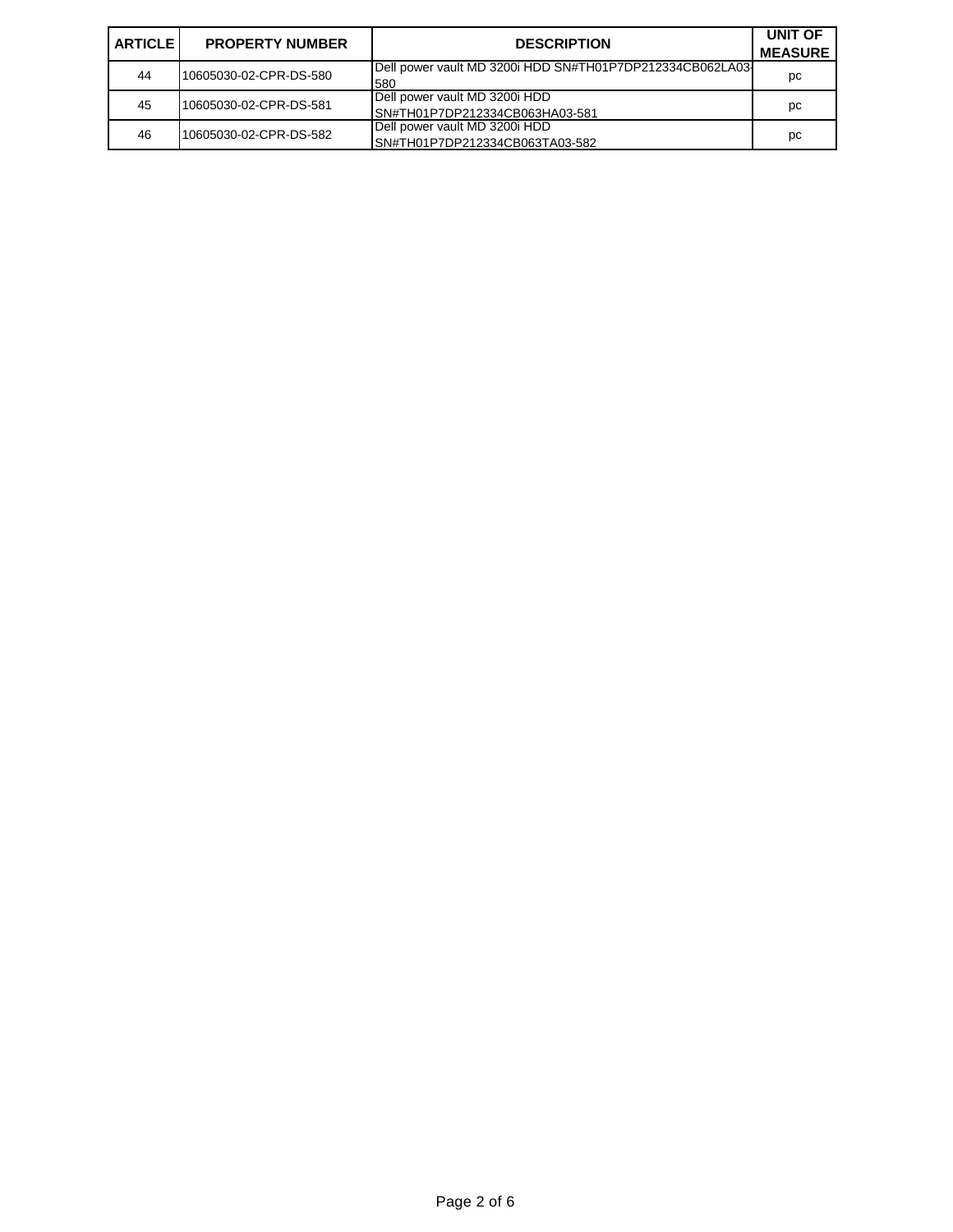| <b>ARTICLE</b> | <b>PROPERTY NUMBER</b> | <b>DESCRIPTION</b>                                              | <b>UNIT OF</b><br><b>MEASURE</b> |
|----------------|------------------------|-----------------------------------------------------------------|----------------------------------|
| 44             | 10605030-02-CPR-DS-580 | Dell power vault MD 3200i HDD SN#TH01P7DP212334CB062LA03<br>580 | рc                               |
| 45             | 10605030-02-CPR-DS-581 | Dell power vault MD 3200i HDD<br>SN#TH01P7DP212334CB063HA03-581 | рc                               |
| 46             | 10605030-02-CPR-DS-582 | Dell power vault MD 3200i HDD<br>SN#TH01P7DP212334CB063TA03-582 | рc                               |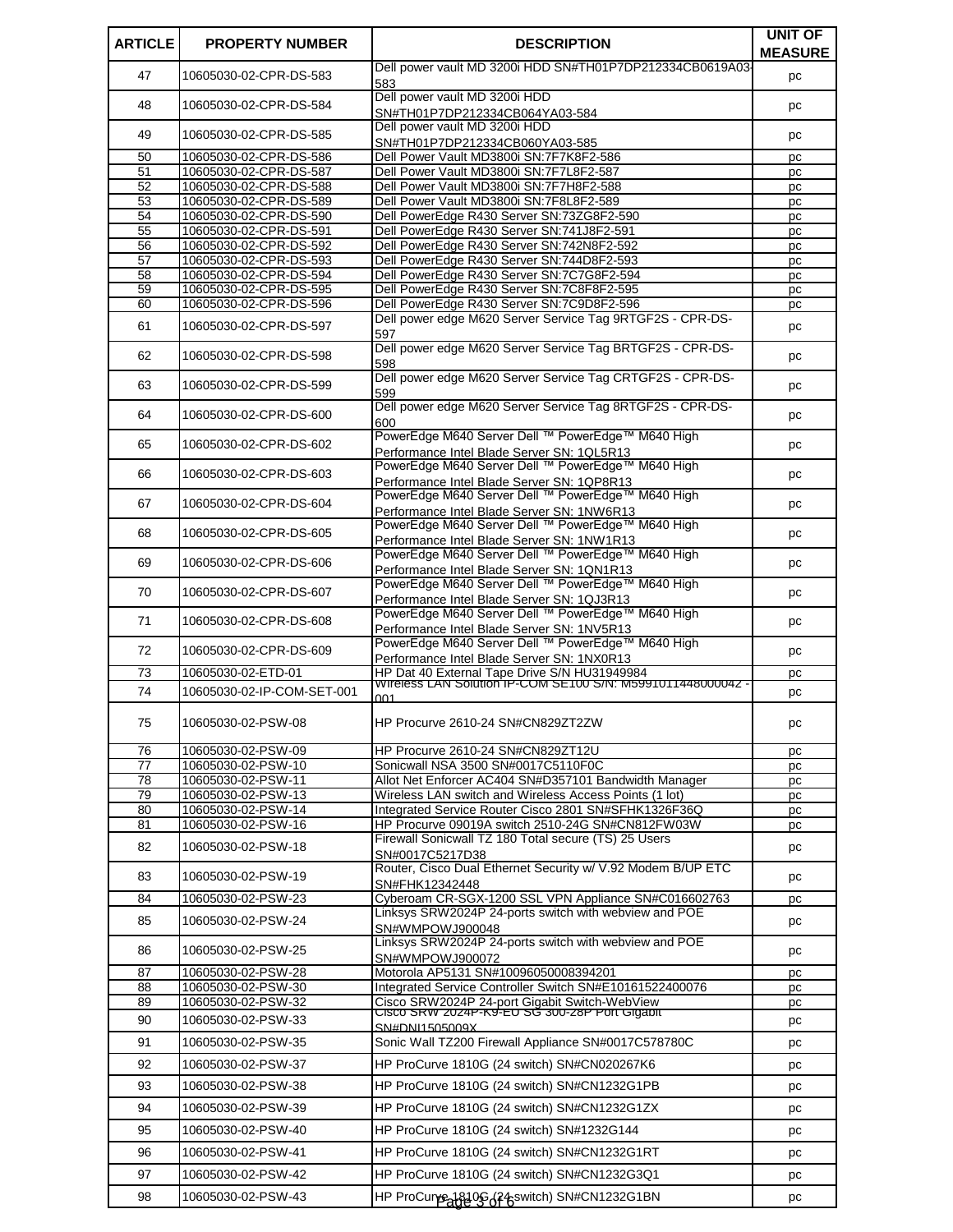| <b>ARTICLE</b>  | <b>PROPERTY NUMBER</b>     | <b>DESCRIPTION</b>                                                                              | <b>UNIT OF</b><br><b>MEASURE</b> |
|-----------------|----------------------------|-------------------------------------------------------------------------------------------------|----------------------------------|
| 47              | 10605030-02-CPR-DS-583     | Dell power vault MD 3200i HDD SN#TH01P7DP212334CB0619A03-<br>583                                | рc                               |
| 48              | 10605030-02-CPR-DS-584     | Dell power vault MD 3200i HDD<br>SN#TH01P7DP212334CB064YA03-584                                 | pc                               |
| 49              | 10605030-02-CPR-DS-585     | Dell power vault MD 3200i HDD<br>SN#TH01P7DP212334CB060YA03-585                                 | рc                               |
| 50              | 10605030-02-CPR-DS-586     | Dell Power Vault MD3800i SN:7F7K8F2-586                                                         | pc                               |
| 51              | 10605030-02-CPR-DS-587     | Dell Power Vault MD3800i SN:7F7L8F2-587                                                         | pc                               |
| 52              | 10605030-02-CPR-DS-588     | Dell Power Vault MD3800i SN:7F7H8F2-588                                                         | pc                               |
| 53              | 10605030-02-CPR-DS-589     | Dell Power Vault MD3800i SN:7F8L8F2-589                                                         | pc                               |
| 54              | 10605030-02-CPR-DS-590     | Dell PowerEdge R430 Server SN:73ZG8F2-590                                                       | pc                               |
| 55              | 10605030-02-CPR-DS-591     | Dell PowerEdge R430 Server SN:741J8F2-591                                                       | pc                               |
| 56              | 10605030-02-CPR-DS-592     | Dell PowerEdge R430 Server SN:742N8F2-592                                                       | pc                               |
| 57              | 10605030-02-CPR-DS-593     | Dell PowerEdge R430 Server SN:744D8F2-593                                                       | pc                               |
| 58              | 10605030-02-CPR-DS-594     | Dell PowerEdge R430 Server SN:7C7G8F2-594                                                       | pc                               |
| 59              | 10605030-02-CPR-DS-595     | Dell PowerEdge R430 Server SN:7C8F8F2-595                                                       | рc                               |
| 60              | 10605030-02-CPR-DS-596     | Dell PowerEdge R430 Server SN:7C9D8F2-596                                                       | рc                               |
| 61              | 10605030-02-CPR-DS-597     | Dell power edge M620 Server Service Tag 9RTGF2S - CPR-DS-                                       | рc                               |
| 62              | 10605030-02-CPR-DS-598     | 597<br>Dell power edge M620 Server Service Tag BRTGF2S - CPR-DS-                                |                                  |
|                 |                            | 598<br>Dell power edge M620 Server Service Tag CRTGF2S - CPR-DS-                                | рc                               |
| 63              | 10605030-02-CPR-DS-599     | 599<br>Dell power edge M620 Server Service Tag 8RTGF2S - CPR-DS-                                | pc                               |
| 64              | 10605030-02-CPR-DS-600     | 600                                                                                             | рc                               |
| 65              | 10605030-02-CPR-DS-602     | PowerEdge M640 Server Dell ™ PowerEdge™ M640 High<br>Performance Intel Blade Server SN: 1QL5R13 | рc                               |
| 66              | 10605030-02-CPR-DS-603     | PowerEdge M640 Server Dell ™ PowerEdge™ M640 High<br>Performance Intel Blade Server SN: 1QP8R13 | pc                               |
| 67              | 10605030-02-CPR-DS-604     | PowerEdge M640 Server Dell ™ PowerEdge™ M640 High                                               | pc                               |
| 68              | 10605030-02-CPR-DS-605     | Performance Intel Blade Server SN: 1NW6R13<br>PowerEdge M640 Server Dell ™ PowerEdge™ M640 High | рc                               |
| 69              | 10605030-02-CPR-DS-606     | Performance Intel Blade Server SN: 1NW1R13<br>PowerEdge M640 Server Dell ™ PowerEdge™ M640 High | pc                               |
| 70              | 10605030-02-CPR-DS-607     | Performance Intel Blade Server SN: 1QN1R13<br>PowerEdge M640 Server Dell ™ PowerEdge™ M640 High | рc                               |
| 71              | 10605030-02-CPR-DS-608     | Performance Intel Blade Server SN: 1QJ3R13<br>PowerEdge M640 Server Dell ™ PowerEdge™ M640 High |                                  |
|                 |                            | Performance Intel Blade Server SN: 1NV5R13<br>PowerEdge M640 Server Dell ™ PowerEdge™ M640 High | pc                               |
| 72              | 10605030-02-CPR-DS-609     | Performance Intel Blade Server SN: 1NX0R13                                                      | рc                               |
| $\overline{73}$ | 10605030-02-ETD-01         | HP Dat 40 External Tape Drive S/N HU31949984                                                    | рc                               |
| 74              | 10605030-02-IP-COM-SET-001 | WITCHESS LAN SOLUTION IP-COM SETTU S/N: M5991011448000042<br>001                                | pc                               |
| 75              | 10605030-02-PSW-08         | HP Procurve 2610-24 SN#CN829ZT2ZW                                                               | pc                               |
| 76              | 10605030-02-PSW-09         | HP Procurve 2610-24 SN#CN829ZT12U                                                               | рc                               |
| 77              | 10605030-02-PSW-10         | Sonicwall NSA 3500 SN#0017C5110F0C                                                              | рc                               |
| 78              | 10605030-02-PSW-11         | Allot Net Enforcer AC404 SN#D357101 Bandwidth Manager                                           | рc                               |
| 79              | 10605030-02-PSW-13         | Wireless LAN switch and Wireless Access Points (1 lot)                                          | рc                               |
| 80              | 10605030-02-PSW-14         | Integrated Service Router Cisco 2801 SN#SFHK1326F36Q                                            | рc                               |
| 81              | 10605030-02-PSW-16         | HP Procurve 09019A switch 2510-24G SN#CN812FW03W                                                | pc                               |
| 82              | 10605030-02-PSW-18         | Firewall Sonicwall TZ 180 Total secure (TS) 25 Users<br>SN#0017C5217D38                         | pc                               |
| 83              | 10605030-02-PSW-19         | Router, Cisco Dual Ethernet Security w/ V.92 Modem B/UP ETC<br>SN#FHK12342448                   | рc                               |
| 84              | 10605030-02-PSW-23         | Cyberoam CR-SGX-1200 SSL VPN Appliance SN#C016602763                                            | рc                               |
| 85              | 10605030-02-PSW-24         | Linksys SRW2024P 24-ports switch with webview and POE<br>SN#WMPOWJ900048                        | рc                               |
| 86              | 10605030-02-PSW-25         | Linksys SRW2024P 24-ports switch with webview and POE<br>SN#WMPOWJ900072                        | рc                               |
| 87              | 10605030-02-PSW-28         | Motorola AP5131 SN#10096050008394201                                                            | рc                               |
| 88              | 10605030-02-PSW-30         | Integrated Service Controller Switch SN#E10161522400076                                         | рc                               |
| 89              | 10605030-02-PSW-32         |                                                                                                 | pc                               |
| 90              | 10605030-02-PSW-33         | Cisco SRW2024P 24-port Gigabit Switch-WebView<br>Cisco SRW 2024P-R9-EU SG 300-28P Port Gigabit  | рc                               |
| 91              | 10605030-02-PSW-35         | SN#DNI1505009X<br>Sonic Wall TZ200 Firewall Appliance SN#0017C578780C                           | рc                               |
| 92              | 10605030-02-PSW-37         | HP ProCurve 1810G (24 switch) SN#CN020267K6                                                     | pc                               |
| 93              | 10605030-02-PSW-38         | HP ProCurve 1810G (24 switch) SN#CN1232G1PB                                                     | рc                               |
| 94              | 10605030-02-PSW-39         | HP ProCurve 1810G (24 switch) SN#CN1232G1ZX                                                     | рc                               |
| 95              | 10605030-02-PSW-40         | HP ProCurve 1810G (24 switch) SN#1232G144                                                       | pc                               |
| 96              | 10605030-02-PSW-41         | HP ProCurve 1810G (24 switch) SN#CN1232G1RT                                                     | рc                               |
| 97              | 10605030-02-PSW-42         | HP ProCurve 1810G (24 switch) SN#CN1232G3Q1                                                     | pc                               |
| 98              | 10605030-02-PSW-43         | HP ProCurpe 1810G (24 switch) SN#CN1232G1BN                                                     | pc                               |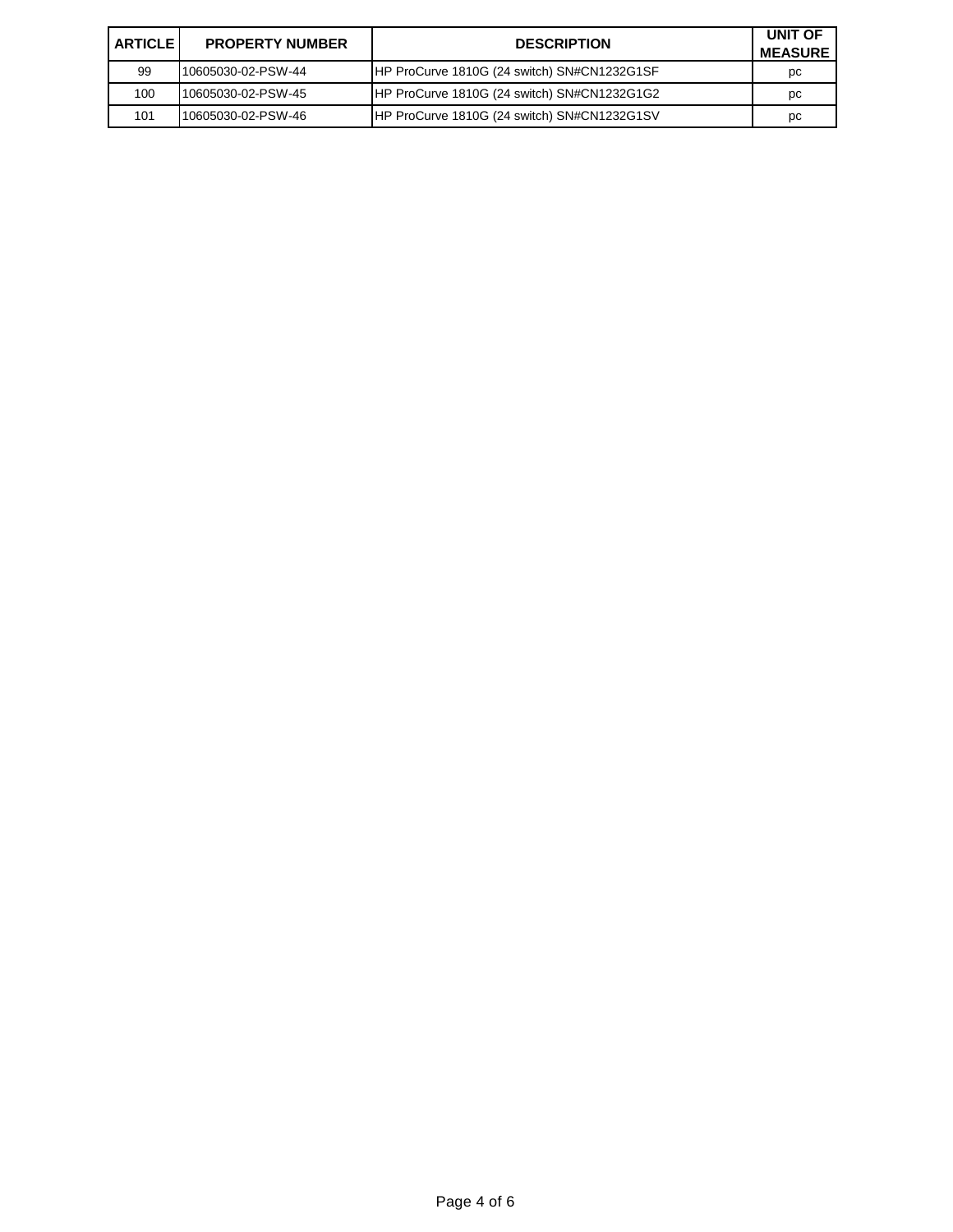| <b>ARTICLE I</b> | <b>PROPERTY NUMBER</b> | <b>DESCRIPTION</b>                          | UNIT OF<br><b>MEASURE</b> |
|------------------|------------------------|---------------------------------------------|---------------------------|
| 99               | 10605030-02-PSW-44     | HP ProCurve 1810G (24 switch) SN#CN1232G1SF | рc                        |
| 100              | 10605030-02-PSW-45     | HP ProCurve 1810G (24 switch) SN#CN1232G1G2 | pc                        |
| 101              | 10605030-02-PSW-46     | HP ProCurve 1810G (24 switch) SN#CN1232G1SV | pc                        |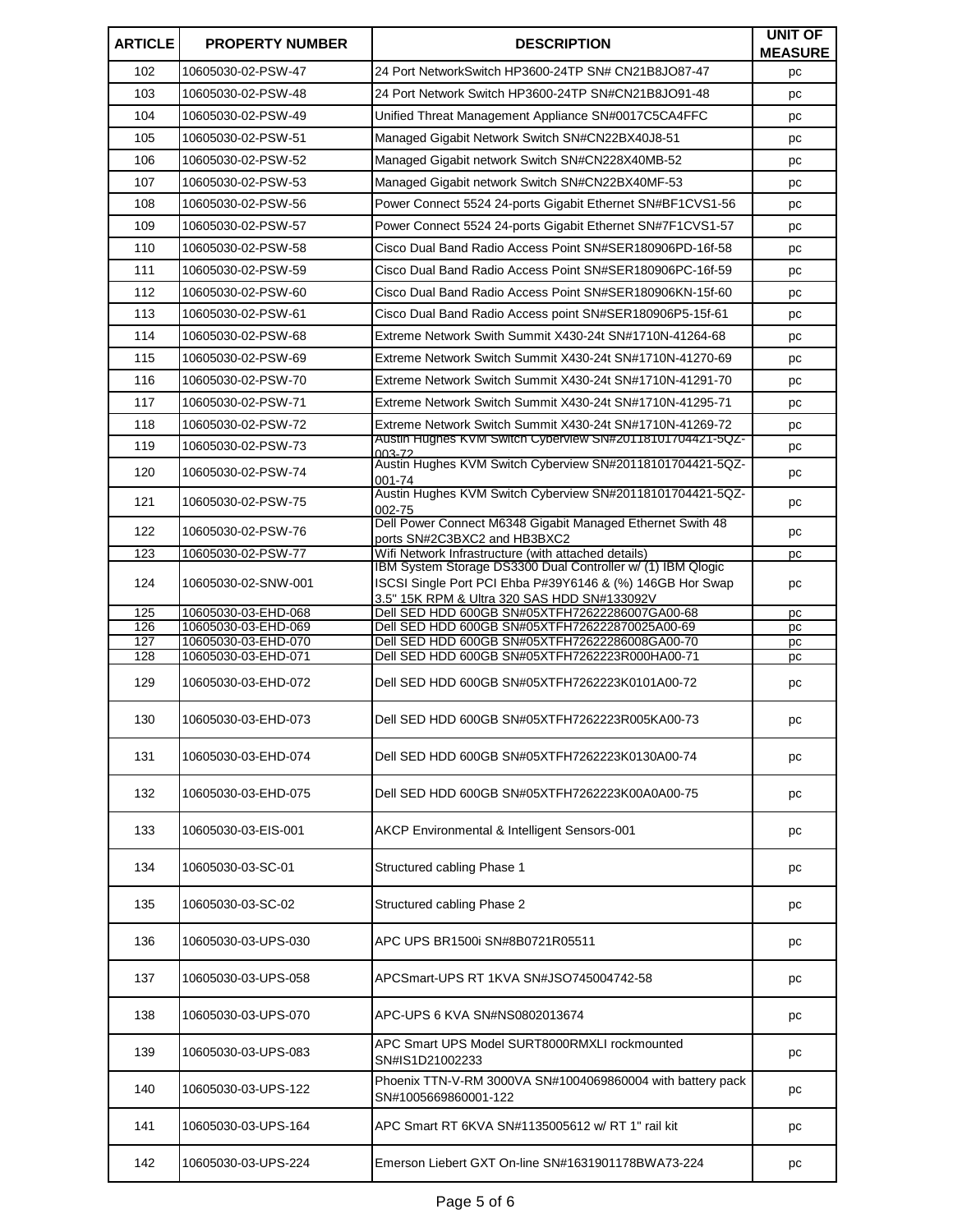| <b>ARTICLE</b> | <b>PROPERTY NUMBER</b>                     | <b>DESCRIPTION</b>                                                                                                 | <b>UNIT OF</b><br><b>MEASURE</b> |
|----------------|--------------------------------------------|--------------------------------------------------------------------------------------------------------------------|----------------------------------|
| 102            | 10605030-02-PSW-47                         | 24 Port NetworkSwitch HP3600-24TP SN# CN21B8JO87-47                                                                | pc                               |
| 103            | 10605030-02-PSW-48                         | 24 Port Network Switch HP3600-24TP SN#CN21B8JO91-48                                                                | pc                               |
| 104            | 10605030-02-PSW-49                         | Unified Threat Management Appliance SN#0017C5CA4FFC                                                                | pc                               |
| 105            | 10605030-02-PSW-51                         | Managed Gigabit Network Switch SN#CN22BX40J8-51                                                                    | pc                               |
| 106            | 10605030-02-PSW-52                         | Managed Gigabit network Switch SN#CN228X40MB-52                                                                    | pc                               |
| 107            | 10605030-02-PSW-53                         | Managed Gigabit network Switch SN#CN22BX40MF-53                                                                    | pc                               |
| 108            | 10605030-02-PSW-56                         | Power Connect 5524 24-ports Gigabit Ethernet SN#BF1CVS1-56                                                         | pc                               |
| 109            | 10605030-02-PSW-57                         | Power Connect 5524 24-ports Gigabit Ethernet SN#7F1CVS1-57                                                         | pc                               |
| 110            | 10605030-02-PSW-58                         | Cisco Dual Band Radio Access Point SN#SER180906PD-16f-58                                                           | pc                               |
| 111            | 10605030-02-PSW-59                         | Cisco Dual Band Radio Access Point SN#SER180906PC-16f-59                                                           | pc                               |
| 112            | 10605030-02-PSW-60                         | Cisco Dual Band Radio Access Point SN#SER180906KN-15f-60                                                           | pc                               |
| 113            | 10605030-02-PSW-61                         | Cisco Dual Band Radio Access point SN#SER180906P5-15f-61                                                           | pc                               |
| 114            | 10605030-02-PSW-68                         | Extreme Network Swith Summit X430-24t SN#1710N-41264-68                                                            | pc                               |
| 115            | 10605030-02-PSW-69                         | Extreme Network Switch Summit X430-24t SN#1710N-41270-69                                                           | pc                               |
| 116            | 10605030-02-PSW-70                         | Extreme Network Switch Summit X430-24t SN#1710N-41291-70                                                           | pc                               |
| 117            | 10605030-02-PSW-71                         | Extreme Network Switch Summit X430-24t SN#1710N-41295-71                                                           | pc                               |
| 118            | 10605030-02-PSW-72                         | Extreme Network Switch Summit X430-24t SN#1710N-41269-72                                                           | pc                               |
| 119            | 10605030-02-PSW-73                         | AUStin Hugnes KVM Switch Cyberview SN#Z0118101/044Z1-5QZ-<br>003-72                                                | pc                               |
| 120            | 10605030-02-PSW-74                         | Austin Hughes KVM Switch Cyberview SN#20118101704421-5QZ-<br>001-74                                                | pc                               |
| 121            | 10605030-02-PSW-75                         | Austin Hughes KVM Switch Cyberview SN#20118101704421-5QZ-<br>002-75                                                | pc                               |
| 122            | 10605030-02-PSW-76                         | Dell Power Connect M6348 Gigabit Managed Ethernet Swith 48<br>ports SN#2C3BXC2 and HB3BXC2                         | pc                               |
| 123            | 10605030-02-PSW-77                         | Wifi Network Infrastructure (with attached details)<br>IBM System Storage DS3300 Dual Controller w/ (1) IBM Qlogic | pc                               |
| 124            | 10605030-02-SNW-001                        | ISCSI Single Port PCI Ehba P#39Y6146 & (%) 146GB Hor Swap<br>3.5" 15K RPM & Ultra 320 SAS HDD SN#133092V           | pc                               |
| 125            | 10605030-03-EHD-068                        | Dell SED HDD 600GB SN#05XTFH72622286007GA00-68                                                                     | pc                               |
| 126<br>127     | 10605030-03-EHD-069<br>10605030-03-EHD-070 | Dell SED HDD 600GB SN#05XTFH726222870025A00-69<br>Dell SED HDD 600GB SN#05XTFH72622286008GA00-70                   | pc<br>рc                         |
| 128            | 10605030-03-EHD-071                        | Dell SED HDD 600GB SN#05XTFH7262223R000HA00-71                                                                     | рc                               |
| 129            | 10605030-03-EHD-072                        | Dell SED HDD 600GB SN#05XTFH7262223K0101A00-72                                                                     | pc                               |
| 130            | 10605030-03-EHD-073                        | Dell SED HDD 600GB SN#05XTFH7262223R005KA00-73                                                                     | $\mathop{\textsf{pc}}$           |
| 131            | 10605030-03-EHD-074                        | Dell SED HDD 600GB SN#05XTFH7262223K0130A00-74                                                                     | pc                               |
| 132            | 10605030-03-EHD-075                        | Dell SED HDD 600GB SN#05XTFH7262223K00A0A00-75                                                                     | pc                               |
| 133            | 10605030-03-EIS-001                        | AKCP Environmental & Intelligent Sensors-001                                                                       | pc                               |
| 134            | 10605030-03-SC-01                          | Structured cabling Phase 1                                                                                         | pc                               |
| 135            | 10605030-03-SC-02                          | Structured cabling Phase 2                                                                                         | pc                               |
| 136            | 10605030-03-UPS-030                        | APC UPS BR1500i SN#8B0721R05511                                                                                    | pc                               |
| 137            | 10605030-03-UPS-058                        | APCSmart-UPS RT 1KVA SN#JSO745004742-58                                                                            | рc                               |
| 138            | 10605030-03-UPS-070                        | APC-UPS 6 KVA SN#NS0802013674                                                                                      | рc                               |
| 139            | 10605030-03-UPS-083                        | APC Smart UPS Model SURT8000RMXLI rockmounted<br>SN#IS1D21002233                                                   | pc                               |
| 140            | 10605030-03-UPS-122                        | Phoenix TTN-V-RM 3000VA SN#1004069860004 with battery pack<br>SN#1005669860001-122                                 | pc                               |
| 141            | 10605030-03-UPS-164                        | APC Smart RT 6KVA SN#1135005612 w/ RT 1" rail kit                                                                  | pc                               |
| 142            | 10605030-03-UPS-224                        | Emerson Liebert GXT On-line SN#1631901178BWA73-224                                                                 | pc                               |